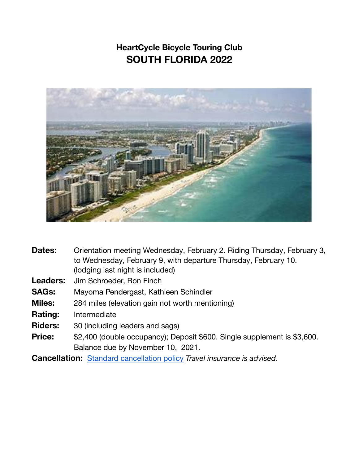## **HeartCycle Bicycle Touring Club SOUTH FLORIDA 2022**



| Dates:          | Orientation meeting Wednesday, February 2. Riding Thursday, February 3,<br>to Wednesday, February 9, with departure Thursday, February 10.<br>(lodging last night is included) |
|-----------------|--------------------------------------------------------------------------------------------------------------------------------------------------------------------------------|
| <b>Leaders:</b> | Jim Schroeder, Ron Finch                                                                                                                                                       |
| <b>SAGs:</b>    | Mayoma Pendergast, Kathleen Schindler                                                                                                                                          |
| <b>Miles:</b>   | 284 miles (elevation gain not worth mentioning)                                                                                                                                |
| <b>Rating:</b>  | Intermediate                                                                                                                                                                   |
| <b>Riders:</b>  | 30 (including leaders and sags)                                                                                                                                                |
| <b>Price:</b>   | \$2,400 (double occupancy); Deposit \$600. Single supplement is \$3,600.                                                                                                       |
|                 | Balance due by November 10, 2021.                                                                                                                                              |
|                 | <b>Cancellation:</b> Standard cancellation policy Travel insurance is advised.                                                                                                 |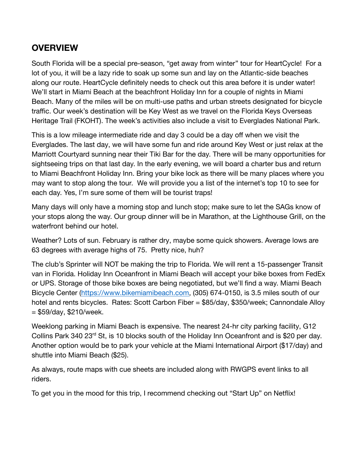## **OVERVIEW**

South Florida will be a special pre-season, "get away from winter" tour for HeartCycle! For a lot of you, it will be a lazy ride to soak up some sun and lay on the Atlantic-side beaches along our route. HeartCycle definitely needs to check out this area before it is under water! We'll start in Miami Beach at the beachfront Holiday Inn for a couple of nights in Miami Beach. Many of the miles will be on multi-use paths and urban streets designated for bicycle traffic. Our week's destination will be Key West as we travel on the Florida Keys Overseas Heritage Trail (FKOHT). The week's activities also include a visit to Everglades National Park.

This is a low mileage intermediate ride and day 3 could be a day off when we visit the Everglades. The last day, we will have some fun and ride around Key West or just relax at the Marriott Courtyard sunning near their Tiki Bar for the day. There will be many opportunities for sightseeing trips on that last day. In the early evening, we will board a charter bus and return to Miami Beachfront Holiday Inn. Bring your bike lock as there will be many places where you may want to stop along the tour. We will provide you a list of the internet's top 10 to see for each day. Yes, I'm sure some of them will be tourist traps!

Many days will only have a morning stop and lunch stop; make sure to let the SAGs know of your stops along the way. Our group dinner will be in Marathon, at the Lighthouse Grill, on the waterfront behind our hotel.

Weather? Lots of sun. February is rather dry, maybe some quick showers. Average lows are 63 degrees with average highs of 75. Pretty nice, huh?

The club's Sprinter will NOT be making the trip to Florida. We will rent a 15-passenger Transit van in Florida. Holiday Inn Oceanfront in Miami Beach will accept your bike boxes from FedEx or UPS. Storage of those bike boxes are being negotiated, but we'll find a way. Miami Beach Bicycle Center (<https://www.bikemiamibeach.com>, (305) 674-0150, is 3.5 miles south of our hotel and rents bicycles. Rates: Scott Carbon Fiber = \$85/day, \$350/week; Cannondale Alloy  $= $59/day, $210/week.$ 

Weeklong parking in Miami Beach is expensive. The nearest 24-hr city parking facility, G12 Collins Park 340 23rd St, is 10 blocks south of the Holiday Inn Oceanfront and is \$20 per day. Another option would be to park your vehicle at the Miami International Airport (\$17/day) and shuttle into Miami Beach (\$25).

As always, route maps with cue sheets are included along with RWGPS event links to all riders.

To get you in the mood for this trip, I recommend checking out "Start Up" on Netflix!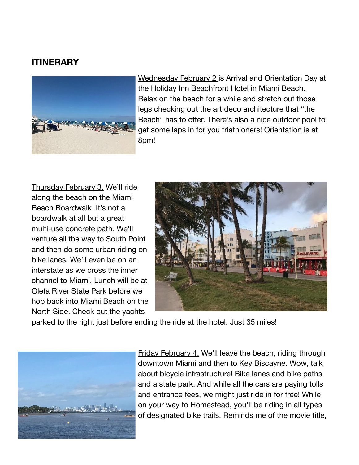## **ITINERARY**



Wednesday February 2 is Arrival and Orientation Day at the Holiday Inn Beachfront Hotel in Miami Beach. Relax on the beach for a while and stretch out those legs checking out the art deco architecture that "the Beach" has to offer. There's also a nice outdoor pool to get some laps in for you triathloners! Orientation is at 8pm!

Thursday February 3. We'll ride along the beach on the Miami Beach Boardwalk. It's not a boardwalk at all but a great multi-use concrete path. We'll venture all the way to South Point and then do some urban riding on bike lanes. We'll even be on an interstate as we cross the inner channel to Miami. Lunch will be at Oleta River State Park before we hop back into Miami Beach on the North Side. Check out the yachts



parked to the right just before ending the ride at the hotel. Just 35 miles!



Friday February 4. We'll leave the beach, riding through downtown Miami and then to Key Biscayne. Wow, talk about bicycle infrastructure! Bike lanes and bike paths and a state park. And while all the cars are paying tolls and entrance fees, we might just ride in for free! While on your way to Homestead, you'll be riding in all types of designated bike trails. Reminds me of the movie title,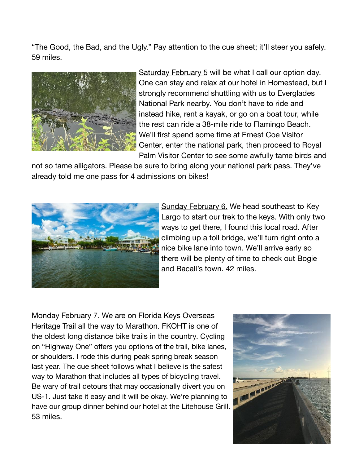"The Good, the Bad, and the Ugly." Pay attention to the cue sheet; it'll steer you safely. 59 miles.



Saturday February 5 will be what I call our option day. One can stay and relax at our hotel in Homestead, but I strongly recommend shuttling with us to Everglades National Park nearby. You don't have to ride and instead hike, rent a kayak, or go on a boat tour, while the rest can ride a 38-mile ride to Flamingo Beach. We'll first spend some time at Ernest Coe Visitor Center, enter the national park, then proceed to Royal Palm Visitor Center to see some awfully tame birds and

not so tame alligators. Please be sure to bring along your national park pass. They've already told me one pass for 4 admissions on bikes!



Sunday February 6. We head southeast to Key Largo to start our trek to the keys. With only two ways to get there, I found this local road. After climbing up a toll bridge, we'll turn right onto a nice bike lane into town. We'll arrive early so there will be plenty of time to check out Bogie and Bacall's town. 42 miles.

Monday February 7. We are on Florida Keys Overseas Heritage Trail all the way to Marathon. FKOHT is one of the oldest long distance bike trails in the country. Cycling on "Highway One" offers you options of the trail, bike lanes, or shoulders. I rode this during peak spring break season last year. The cue sheet follows what I believe is the safest way to Marathon that includes all types of bicycling travel. Be wary of trail detours that may occasionally divert you on US-1. Just take it easy and it will be okay. We're planning to have our group dinner behind our hotel at the Litehouse Grill. 53 miles.